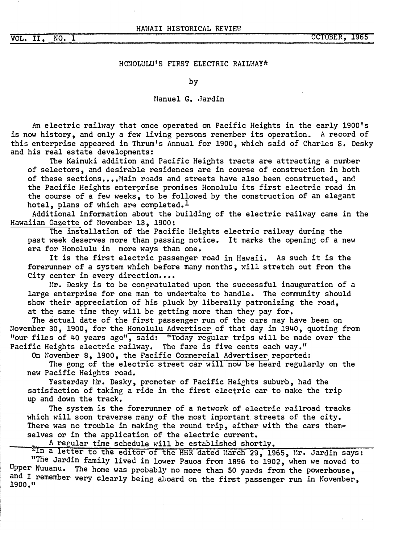**VOL.** II, **NO, l**

### HONOLULU'S FIRST ELECTRIC RAILWAY\*

by

### Manuel G. Jardin

An electric railway that once operated on Pacific Heights in the early l900's is now history, and only a few living persons remember its operation. A record of this enterprise appeared in Thrum's Annual for 1900, which said of Charles s. Desky and his real estate developments:

The Kaimuki addition and Pacific Heights tracts are attracting a number of selectors, and desirable residences are in course of construction in both of these sections....Main roads and streets have also been constructed, and the Pacific Heights enterprise promises Honolulu its first electric road in the course of a few weeks, to be followed by the construction of an elegant hotel, plans of which are completed.<sup>1</sup>

Additional infomation about the building of the electric railway came in the Hawaiian Gazette of November 13, 1900:

The installation of the Pacific Heights electric railway during the past week deserves more than passing notice. It marks the opening of a new era for Honolulu in more ways than one.

It is the first electric passenger road in Hawaii. As such it is the forerunner of a system which before many months, will stretch out from the City center in every direction....

Mr. Desky is to be congratulated upon the successful inauguration of a large enterprise for one man to undertake to handle. The community should show their appreciation of his pluck by liberally patronizing the road. at the same time they will be getting more than they pay for,

The actual date of the first passenger run of the cars may have been on �ovember 30, 1900, for the Honolulu Advertiser of that day in 1940, quoting from "our files of 40 years ago", said: "Today regular trips will be made over the Pacific Heights electric railway. The fare is five cents each way."

On November 8, 1900, the Pacific Commercial Advertiser reported:

The gong of the electric street car will now be heard regularly on the new Pacific Heights road.

Yesterday Hr. Desky, promoter of Pacific Heights suburb, had the satisfaction of taking a ride in the first electric car to make the trip up and down the track.

The system is the forerunner of a network of electric railroad tracks which will soon traverse many of the most important streets of the city. There was no trouble in making the round trip, either with the cars themselves or in the application of the electric current.<br>A regular time schedule will be established shortly.

AIn a letter to the editor of the HHR dated March 29, 1965, Mr. Jardin says: "The Jardin family lived in lower Pauoa from 1896 to 1902, when we moved to Upper Nuuanu. The home was probably no more than 50 yards from the powerhouse, and I remember very clearly being aboard on the first passenger run in November,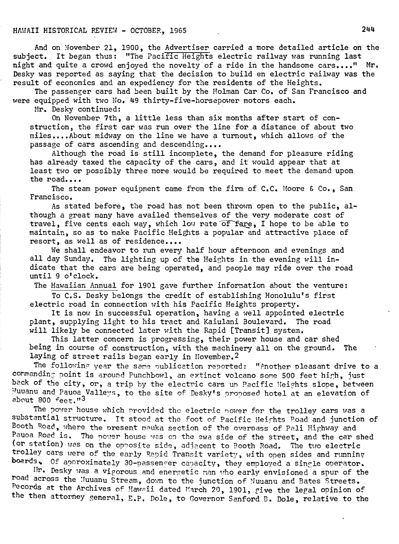# HAWAII HISTORICAL REVIEW - OCTOBER, 1965 244

And on November 21, 1900, the Advertiser carried a more detailed article on the subject. It began thus: "The Pacific Heights electric railway was running last night and quite a crowd enjoyed the novelty of a ride in the handsome cars...." Mr. Desky was reported as saying that the decision to build en electric railway was the result of economics and an expediency for the residents of the Heights.

The passenger cars had been built by the Holman Car Co. of San Francisco and were equipped with two No. 49 thirty-five-horsepower motors each.

Mr. Desky continued:

On November 7th, a little less than six months after start of construction, the first car was run over the line for a distance of about two miles •••• About midway on the line we have a turnout, which allows of the passage of cars ascending and descending....

Although the road is still incomplete, the demand for pleasure riding has already taxed the capacity of the cars, and it would appear that at least two or possibly three more would be required to meet the demand upon the road....

The steam power equipment came from the firm of C.C. Moore *&* Co., San Francisco.

As stated before, the road has not been thrown open to the public, although a great many have availed themselves of the very moderate cost of travel, five cents each way, which low rate of fare, I hope to be able to maintain, so as to make Pacific Heights a popular and attractive place of resort, as well as of residence....

We shall endeavor to run every half hour afternoon and evenings and all day Sunday. The lighting up of the Heights in the evening will indicate that the cars are being operated, and people may ride over the road until 9 o'clock.

The Hawaiian Annual for 1901 gave further information about the venture:

To C.S. Desky belongs the credit of establishing Honolulu's first electric road in connection with his Pacific Heights property.

It is now in successful operation, having a well appointed electric plant, supplying light to his tract and Kaiulani Boulevard. The road will likely be connected later with the Rapid [Transit] system.

This latter concern is progressing, their power house and car shed being in course of construction, with the machinery all on the ground. The laying of street rails began early in Hovember.<sup>2</sup>

The following year the same publication reported: "Another pleasant drive to a commanding point is around Punchbowl, an extinct volcano some 500 feet high, just back of the city, or, a trip by the electric cars up Pacific Heights slope, between Muuanu and Pauoa Valleys, to the site of Desky's proposed hotel at an elevation of about 800 feet."<sup>3</sup>

The power house which provided the electric nower for the trolley cars was a substantial structure. It stood at the foot of Pacific Heights Road and junction of Booth Road, where the present mauka section of the overpass of Pali Highway and<br>Pauoa Road is. The power house was on the ewa side of the street, and the car shed (or station) was on the opposite side, adjacent to Booth Road. The two electric trolley cars were of the early Rapid Transit variety, with open sides and running boards. Of approximately 30-passencer capacity, they employed a single operator.

I'm. Desky was a vigorous and energetic man uho early envisioned a spur of the road across the Nuuanu Stream, down to the junction of Nuuanu and Bates Streets. Pecords at the Archives of Hawaii dated March 20, 1901, give the legal opinion of the then attorney general, E.P. Dole, to Governor Sanford B. Dole, relative to the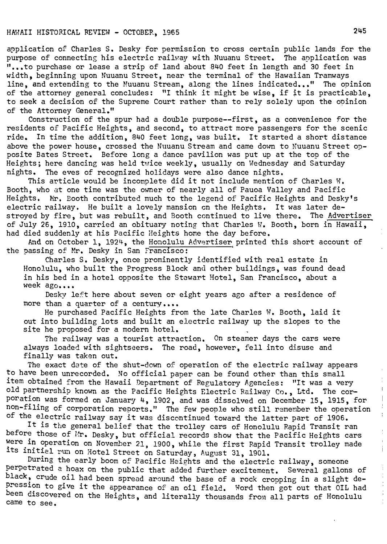## HAWAII HISTORICAL REVIEW - OCTOBER, <sup>1965</sup> **<sup>245</sup>**

application of Charles s. Desky for permission to cross certain public lands for the purpose of connecting his electric railway with Nuuanu Street. The application was 11 • •• to purchase or lease a strip of land about 840 feet in length and 30 feet in width, beginning upon Nuuanu Street, near the terminal of the Hawaiian Tramways line, and extending to the Nuuanu Stream, along the lines indicated..." The opinion of the attorney general concludes: "I think it might be wise, if it is practicable, to seek a decision of the Supreme Court rather than to rely solely upon the o�inion of the Attorney General."

Construction of the spur had a double purpose--first, as a convenience for the residents of Pacific Heights, and second, to attract more passengers for the scenic ride. In time the addition, 840 feet long, was built. It started a short distance above the power house, crossed the Nuuanu Stream and came down to Nuuanu Street opposite Bates Street. Before long a dance pavilion was put up at the top of the Heights; here dancing was held twice weekly, usually on Wednesday and Saturday nights. The eves of recognized holidays were also dance nights.

This article would be incomplete did it not include mention of Charles W. Booth, who at one time was the owner of nearly all of Pauoa Valley and Pacific Heights. Mr. Booth contributed much to the legend of Pacific Heights and Desky's electric railway. He built a lovely mansion on the Heights. It was later destroyed by fire, but was rebuilt, and Booth continued to live there. The Advertiser of July 26, 1910, carried an obituary noting that Charles w. Booth, born in Hawaii, had died suddenly at his Pacific Heights home the day before.

And on October 1, 1924, the Honolulu Advertiser printed this short account of the passing of Mr. Desky in San Francisco:

Charles s. Desky, once prominently identified with real estate in Honolulu, who built the Progress Block and other buildings, was found dead in his bed in a hotel opposite the Stewart Hotel, San Francisco, about a week ago....

Desky left here about seven or eight years ago after a residence of more than a quarter of a century....

He purchased Pacific Heights from the late Charles w. Booth, laid it out into building lots and built an electric railway up the slopes to the site he proposed for a modern hotel.

The railway was a tourist attraction. On steamer days the cars were always loaded with sightseers. The road, however, fell into disuse and finally was taken out.

The exact date of the shut-down of operation of the electric railway appears to have been unrecorded. No official paper can be found other than this small item obtained from the Hawaii Department of Regulatory Agencies: "It was a very old partnership known as the Pacific Heights Electric Railway Co., Ltd. The corporation was formed on January 4, 1902, and was dissolved on December 15, 1915, for non-filing of corporation reports." The few people who still remember the operation of the electric railway say it was discontinued toward the latter part of 1906.

It is the general belief that the trolley cars of Honolulu Rapid Transit ran before those of Mr. Desky, but official records show that the Pacific Heights cars Were in operation on November 21, 1900, while the first Rapid Transit trolley made its initial run on Hotel Street on Saturday, August 31, 1901.

During the early boom of Pacific Heights and the electric railway, someone perpetrated a hoax on the public that added further excitement. Several gallons of black, crude oil had been spread around the base of a rock cropping in a slight depression to give it the appearance of an oil field. Word then got out that OIL had<br>been discovered on the Usiable and literally there is a committee of Waralulu been discovered on the Heights, and literally thousands from all parts of Honolulu came to see.